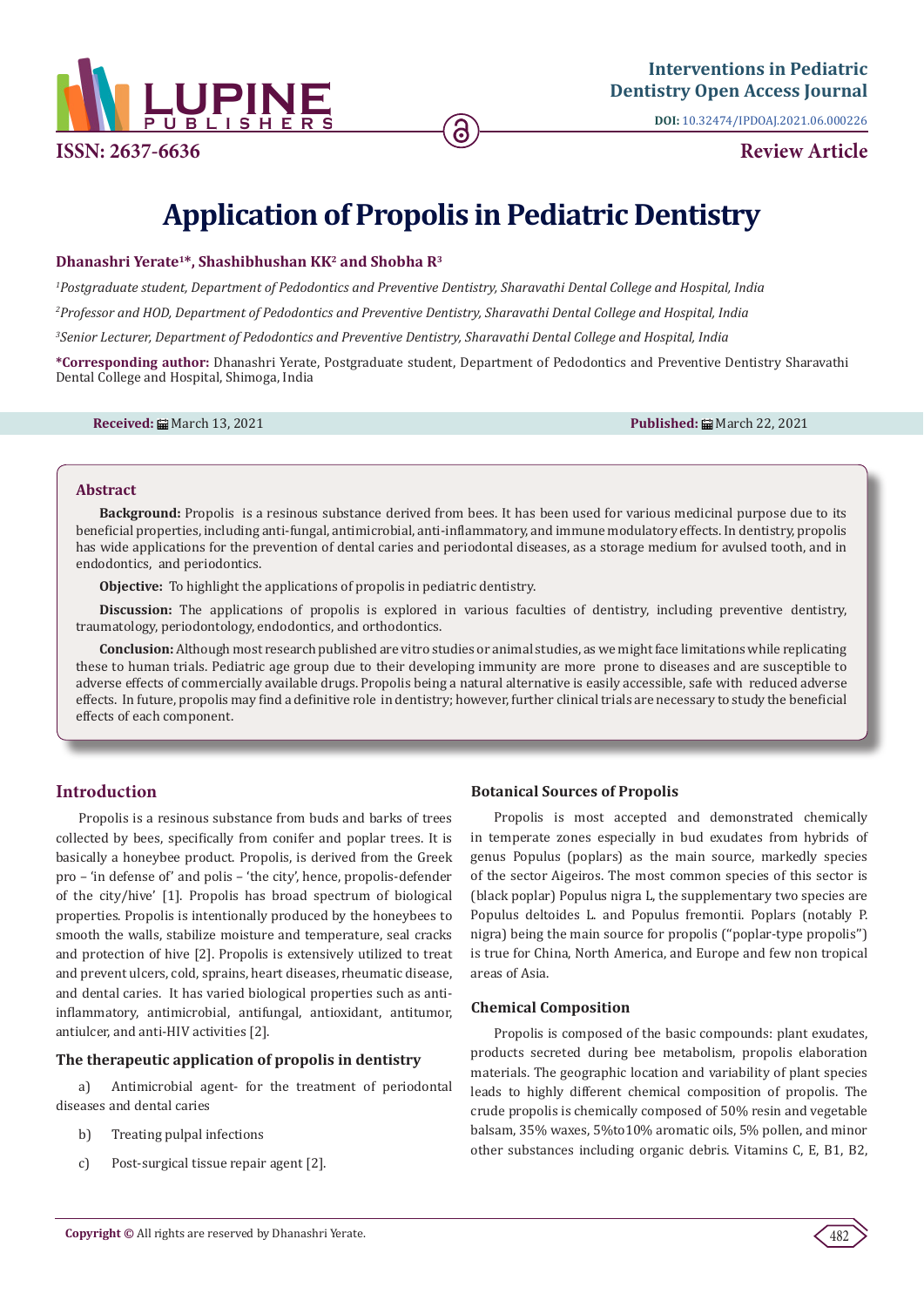

**ISSN: 2637-6636 Review Article**

**DOI:** [10.32474/IPDOAJ.2021.06.000226](http://dx.doi.org/10.32474/IPDOAJ.2021.06.000226)

# **Application of Propolis in Pediatric Dentistry**

## **Dhanashri Yerate1\*, Shashibhushan KK2 and Shobha R3**

*1 Postgraduate student, Department of Pedodontics and Preventive Dentistry, Sharavathi Dental College and Hospital, India*

*2 Professor and HOD, Department of Pedodontics and Preventive Dentistry, Sharavathi Dental College and Hospital, India*

*3 Senior Lecturer, Department of Pedodontics and Preventive Dentistry, Sharavathi Dental College and Hospital, India*

**\*Corresponding author:** Dhanashri Yerate, Postgraduate student, Department of Pedodontics and Preventive Dentistry Sharavathi Dental College and Hospital, Shimoga, India

**Received:** March 13, 2021 **Published:** March 22, 2021

#### **Abstract**

**Background:** Propolis is a resinous substance derived from bees. It has been used for various medicinal purpose due to its beneficial properties, including anti-fungal, antimicrobial, anti-inflammatory, and immune modulatory effects. In dentistry, propolis has wide applications for the prevention of dental caries and periodontal diseases, as a storage medium for avulsed tooth, and in endodontics, and periodontics.

**Objective:** To highlight the applications of propolis in pediatric dentistry.

**Discussion:** The applications of propolis is explored in various faculties of dentistry, including preventive dentistry, traumatology, periodontology, endodontics, and orthodontics.

**Conclusion:** Although most research published are vitro studies or animal studies, as we might face limitations while replicating these to human trials. Pediatric age group due to their developing immunity are more prone to diseases and are susceptible to adverse effects of commercially available drugs. Propolis being a natural alternative is easily accessible, safe with reduced adverse effects. In future, propolis may find a definitive role in dentistry; however, further clinical trials are necessary to study the beneficial effects of each component.

# **Introduction**

Propolis is a resinous substance from buds and barks of trees collected by bees, specifically from conifer and poplar trees. It is basically a honeybee product. Propolis, is derived from the Greek pro – 'in defense of' and polis – 'the city', hence, propolis-defender of the city/hive' [1]. Propolis has broad spectrum of biological properties. Propolis is intentionally produced by the honeybees to smooth the walls, stabilize moisture and temperature, seal cracks and protection of hive [2]. Propolis is extensively utilized to treat and prevent ulcers, cold, sprains, heart diseases, rheumatic disease, and dental caries. It has varied biological properties such as antiinflammatory, antimicrobial, antifungal, antioxidant, antitumor, antiulcer, and anti-HIV activities [2].

## **The therapeutic application of propolis in dentistry**

a) Antimicrobial agent- for the treatment of periodontal diseases and dental caries

- b) Treating pulpal infections
- c) Post-surgical tissue repair agent [2].

# **Botanical Sources of Propolis**

Propolis is most accepted and demonstrated chemically in temperate zones especially in bud exudates from hybrids of genus Populus (poplars) as the main source, markedly species of the sector Aigeiros. The most common species of this sector is (black poplar) Populus nigra L, the supplementary two species are Populus deltoides L. and Populus fremontii. Poplars (notably P. nigra) being the main source for propolis (''poplar-type propolis'') is true for China, North America, and Europe and few non tropical areas of Asia.

## **Chemical Composition**

Propolis is composed of the basic compounds: plant exudates, products secreted during bee metabolism, propolis elaboration materials. The geographic location and variability of plant species leads to highly different chemical composition of propolis. The crude propolis is chemically composed of 50% resin and vegetable balsam, 35% waxes, 5%to10% aromatic oils, 5% pollen, and minor other substances including organic debris. Vitamins C, E, B1, B2,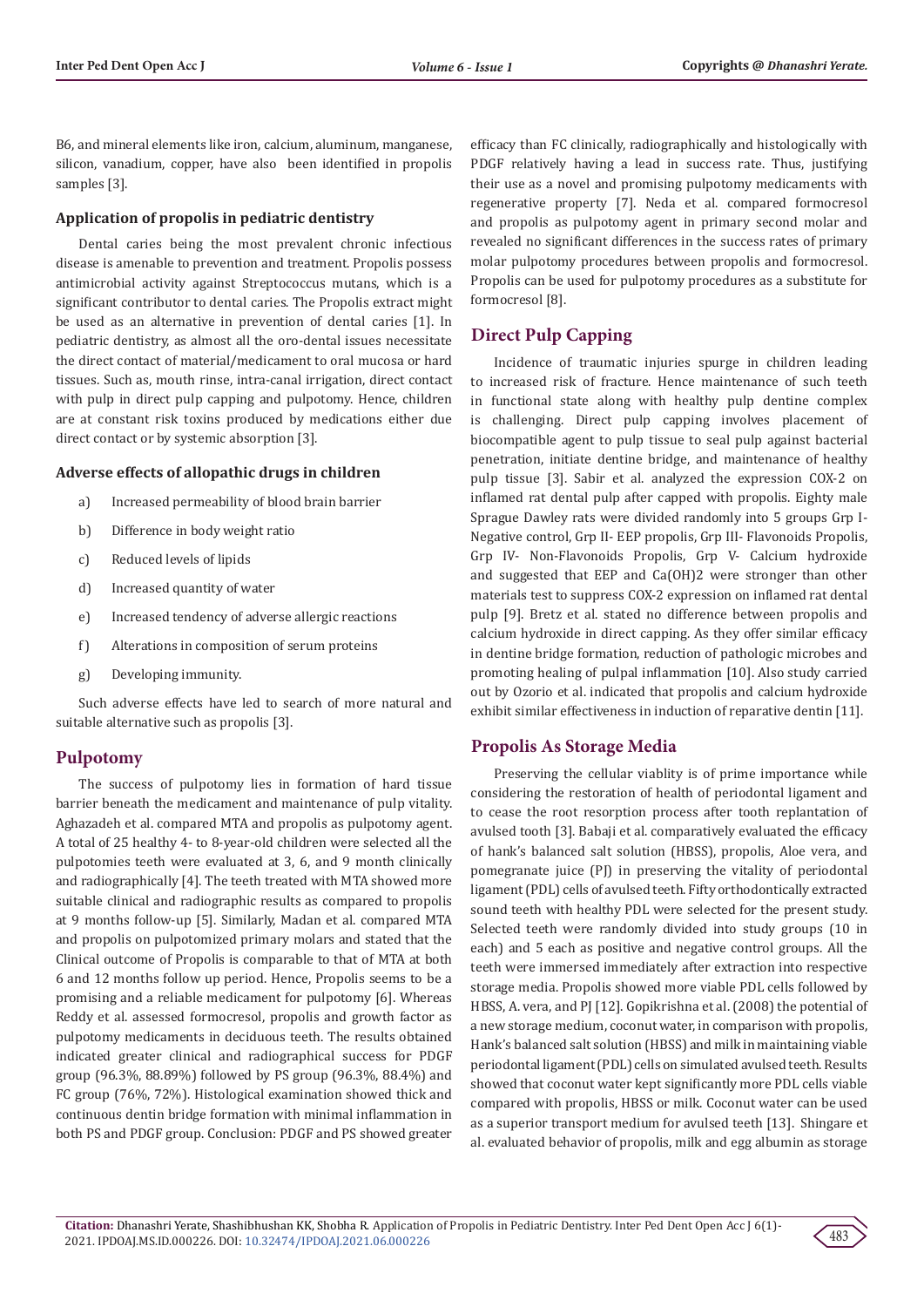B6, and mineral elements like iron, calcium, aluminum, manganese, silicon, vanadium, copper, have also been identified in propolis samples [3].

#### **Application of propolis in pediatric dentistry**

Dental caries being the most prevalent chronic infectious disease is amenable to prevention and treatment. Propolis possess antimicrobial activity against Streptococcus mutans, which is a significant contributor to dental caries. The Propolis extract might be used as an alternative in prevention of dental caries [1]. In pediatric dentistry, as almost all the oro-dental issues necessitate the direct contact of material/medicament to oral mucosa or hard tissues. Such as, mouth rinse, intra-canal irrigation, direct contact with pulp in direct pulp capping and pulpotomy. Hence, children are at constant risk toxins produced by medications either due direct contact or by systemic absorption [3].

#### **Adverse effects of allopathic drugs in children**

- a) Increased permeability of blood brain barrier
- b) Difference in body weight ratio
- c) Reduced levels of lipids
- d) Increased quantity of water
- e) Increased tendency of adverse allergic reactions
- f) Alterations in composition of serum proteins
- g) Developing immunity.

Such adverse effects have led to search of more natural and suitable alternative such as propolis [3].

#### **Pulpotomy**

The success of pulpotomy lies in formation of hard tissue barrier beneath the medicament and maintenance of pulp vitality. Aghazadeh et al. compared MTA and propolis as pulpotomy agent. A total of 25 healthy 4- to 8-year-old children were selected all the pulpotomies teeth were evaluated at 3, 6, and 9 month clinically and radiographically [4]. The teeth treated with MTA showed more suitable clinical and radiographic results as compared to propolis at 9 months follow-up [5]. Similarly, Madan et al. compared MTA and propolis on pulpotomized primary molars and stated that the Clinical outcome of Propolis is comparable to that of MTA at both 6 and 12 months follow up period. Hence, Propolis seems to be a promising and a reliable medicament for pulpotomy [6]. Whereas Reddy et al. assessed formocresol, propolis and growth factor as pulpotomy medicaments in deciduous teeth. The results obtained indicated greater clinical and radiographical success for PDGF group (96.3%, 88.89%) followed by PS group (96.3%, 88.4%) and FC group (76%, 72%). Histological examination showed thick and continuous dentin bridge formation with minimal inflammation in both PS and PDGF group. Conclusion: PDGF and PS showed greater efficacy than FC clinically, radiographically and histologically with PDGF relatively having a lead in success rate. Thus, justifying their use as a novel and promising pulpotomy medicaments with regenerative property [7]. Neda et al. compared formocresol and propolis as pulpotomy agent in primary second molar and revealed no significant differences in the success rates of primary molar pulpotomy procedures between propolis and formocresol. Propolis can be used for pulpotomy procedures as a substitute for formocresol [8].

# **Direct Pulp Capping**

Incidence of traumatic injuries spurge in children leading to increased risk of fracture. Hence maintenance of such teeth in functional state along with healthy pulp dentine complex is challenging. Direct pulp capping involves placement of biocompatible agent to pulp tissue to seal pulp against bacterial penetration, initiate dentine bridge, and maintenance of healthy pulp tissue [3]. Sabir et al. analyzed the expression COX-2 on inflamed rat dental pulp after capped with propolis. Eighty male Sprague Dawley rats were divided randomly into 5 groups Grp I-Negative control, Grp II- EEP propolis, Grp III- Flavonoids Propolis, Grp IV- Non-Flavonoids Propolis, Grp V- Calcium hydroxide and suggested that EEP and Ca(OH)2 were stronger than other materials test to suppress COX-2 expression on inflamed rat dental pulp [9]. Bretz et al. stated no difference between propolis and calcium hydroxide in direct capping. As they offer similar efficacy in dentine bridge formation, reduction of pathologic microbes and promoting healing of pulpal inflammation [10]. Also study carried out by Ozorio et al. indicated that propolis and calcium hydroxide exhibit similar effectiveness in induction of reparative dentin [11].

# **Propolis As Storage Media**

Preserving the cellular viablity is of prime importance while considering the restoration of health of periodontal ligament and to cease the root resorption process after tooth replantation of avulsed tooth [3]. Babaji et al. comparatively evaluated the efficacy of hank's balanced salt solution (HBSS), propolis, Aloe vera, and pomegranate juice (PJ) in preserving the vitality of periodontal ligament (PDL) cells of avulsed teeth. Fifty orthodontically extracted sound teeth with healthy PDL were selected for the present study. Selected teeth were randomly divided into study groups (10 in each) and 5 each as positive and negative control groups. All the teeth were immersed immediately after extraction into respective storage media. Propolis showed more viable PDL cells followed by HBSS, A. vera, and PJ [12]. Gopikrishna et al. (2008) the potential of a new storage medium, coconut water, in comparison with propolis, Hank's balanced salt solution (HBSS) and milk in maintaining viable periodontal ligament (PDL) cells on simulated avulsed teeth. Results showed that coconut water kept significantly more PDL cells viable compared with propolis, HBSS or milk. Coconut water can be used as a superior transport medium for avulsed teeth [13]. Shingare et al. evaluated behavior of propolis, milk and egg albumin as storage

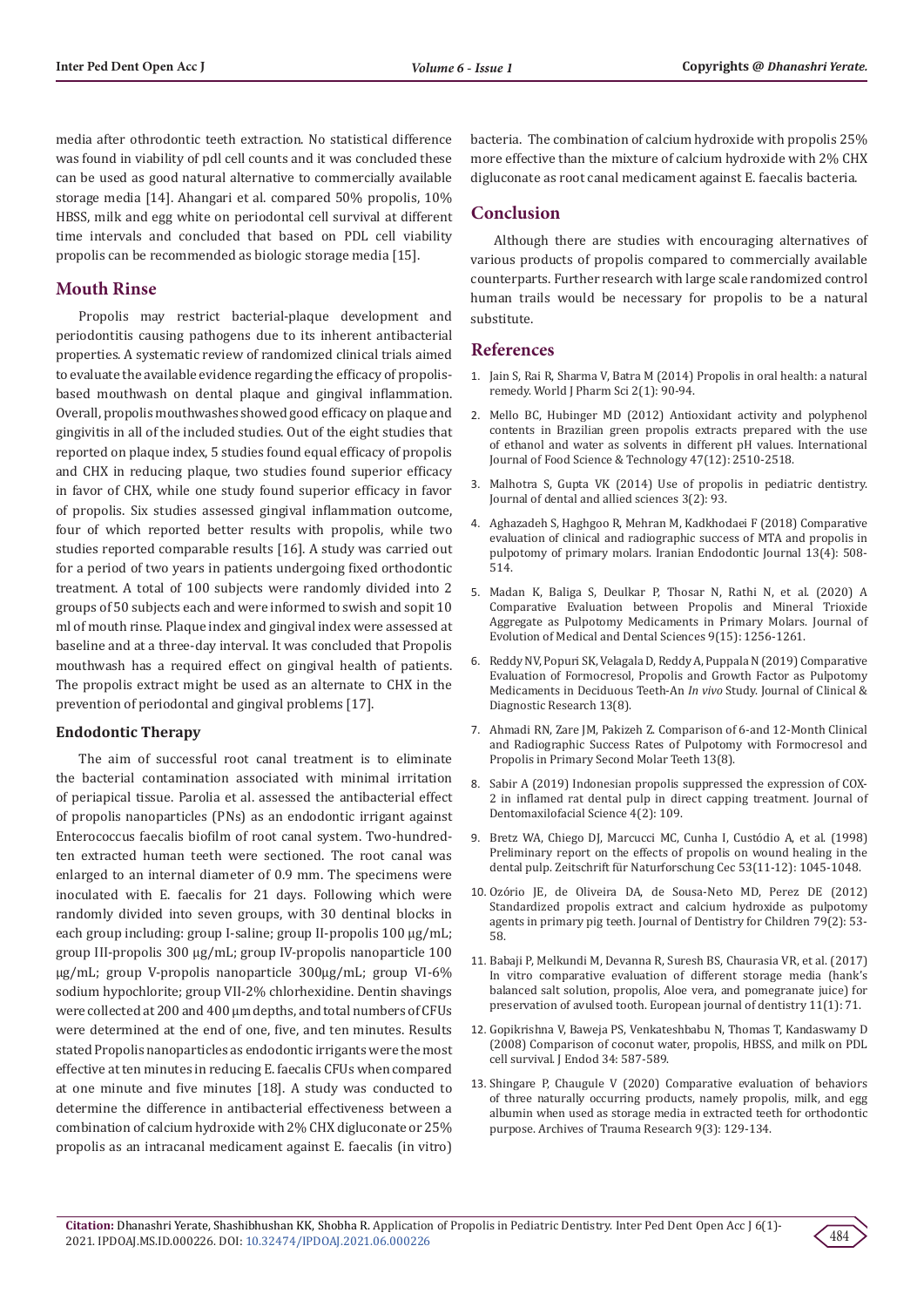media after othrodontic teeth extraction. No statistical difference was found in viability of pdl cell counts and it was concluded these can be used as good natural alternative to commercially available storage media [14]. Ahangari et al. compared 50% propolis, 10% HBSS, milk and egg white on periodontal cell survival at different time intervals and concluded that based on PDL cell viability propolis can be recommended as biologic storage media [15].

# **Mouth Rinse**

Propolis may restrict bacterial-plaque development and periodontitis causing pathogens due to its inherent antibacterial properties. A systematic review of randomized clinical trials aimed to evaluate the available evidence regarding the efficacy of propolisbased mouthwash on dental plaque and gingival inflammation. Overall, propolis mouthwashes showed good efficacy on plaque and gingivitis in all of the included studies. Out of the eight studies that reported on plaque index, 5 studies found equal efficacy of propolis and CHX in reducing plaque, two studies found superior efficacy in favor of CHX, while one study found superior efficacy in favor of propolis. Six studies assessed gingival inflammation outcome, four of which reported better results with propolis, while two studies reported comparable results [16]. A study was carried out for a period of two years in patients undergoing fixed orthodontic treatment. A total of 100 subjects were randomly divided into 2 groups of 50 subjects each and were informed to swish and sopit 10 ml of mouth rinse. Plaque index and gingival index were assessed at baseline and at a three-day interval. It was concluded that Propolis mouthwash has a required effect on gingival health of patients. The propolis extract might be used as an alternate to CHX in the prevention of periodontal and gingival problems [17].

#### **Endodontic Therapy**

The aim of successful root canal treatment is to eliminate the bacterial contamination associated with minimal irritation of periapical tissue. Parolia et al. assessed the antibacterial effect of propolis nanoparticles (PNs) as an endodontic irrigant against Enterococcus faecalis biofilm of root canal system. Two-hundredten extracted human teeth were sectioned. The root canal was enlarged to an internal diameter of 0.9 mm. The specimens were inoculated with E. faecalis for 21 days. Following which were randomly divided into seven groups, with 30 dentinal blocks in each group including: group I-saline; group II-propolis 100 µg/mL; group III-propolis 300 µg/mL; group IV-propolis nanoparticle 100 µg/mL; group V-propolis nanoparticle 300µg/mL; group VI-6% sodium hypochlorite; group VII-2% chlorhexidine. Dentin shavings were collected at 200 and 400 μm depths, and total numbers of CFUs were determined at the end of one, five, and ten minutes. Results stated Propolis nanoparticles as endodontic irrigants were the most effective at ten minutes in reducing E. faecalis CFUs when compared at one minute and five minutes [18]. A study was conducted to determine the difference in antibacterial effectiveness between a combination of calcium hydroxide with 2% CHX digluconate or 25% propolis as an intracanal medicament against E. faecalis (in vitro) bacteria. The combination of calcium hydroxide with propolis 25% more effective than the mixture of calcium hydroxide with 2% CHX digluconate as root canal medicament against E. faecalis bacteria.

# **Conclusion**

Although there are studies with encouraging alternatives of various products of propolis compared to commercially available counterparts. Further research with large scale randomized control human trails would be necessary for propolis to be a natural substitute.

#### **References**

- 1. [Jain S, Rai R, Sharma V, Batra M \(2014\) Propolis in oral health: a natural](https://www.researchgate.net/publication/259488052_PROPOLIS_IN_ORAL_HEALTH_A_NATURAL_REMEDY) [remedy. World J Pharm Sci 2\(1\): 90-94.](https://www.researchgate.net/publication/259488052_PROPOLIS_IN_ORAL_HEALTH_A_NATURAL_REMEDY)
- 2. [Mello BC, Hubinger MD \(2012\) Antioxidant activity and polyphenol](https://www.researchgate.net/publication/267037304_Antioxidant_activity_and_polyphenol_contents_in_Brazilian_green_propolis_extracts_prepared_with_the_use_of_ethanol_and_water_as_solvents_in_different_pH_values) [contents in Brazilian green propolis extracts prepared with the use](https://www.researchgate.net/publication/267037304_Antioxidant_activity_and_polyphenol_contents_in_Brazilian_green_propolis_extracts_prepared_with_the_use_of_ethanol_and_water_as_solvents_in_different_pH_values) [of ethanol and water as solvents in different pH values. International](https://www.researchgate.net/publication/267037304_Antioxidant_activity_and_polyphenol_contents_in_Brazilian_green_propolis_extracts_prepared_with_the_use_of_ethanol_and_water_as_solvents_in_different_pH_values) [Journal of Food Science & Technology 47\(12\): 2510-2518.](https://www.researchgate.net/publication/267037304_Antioxidant_activity_and_polyphenol_contents_in_Brazilian_green_propolis_extracts_prepared_with_the_use_of_ethanol_and_water_as_solvents_in_different_pH_values)
- 3. [Malhotra S, Gupta VK \(2014\) Use of propolis in pediatric dentistry.](https://www.jdas.in/article.asp?issn=2277-4696;year=2014;volume=3;issue=2;spage=93;epage=98;aulast=Malhotra) [Journal of dental and allied sciences 3\(2\): 93.](https://www.jdas.in/article.asp?issn=2277-4696;year=2014;volume=3;issue=2;spage=93;epage=98;aulast=Malhotra)
- 4. [Aghazadeh S, Haghgoo R, Mehran M, Kadkhodaei F \(2018\) Comparative](https://www.researchgate.net/publication/329250893_Comparative_evaluation_of_clinical_and_radiographic_success_of_MTA_and_propolis_in_pulpotomy_of_primary_molars) [evaluation of clinical and radiographic success of MTA and propolis in](https://www.researchgate.net/publication/329250893_Comparative_evaluation_of_clinical_and_radiographic_success_of_MTA_and_propolis_in_pulpotomy_of_primary_molars) [pulpotomy of primary molars. Iranian Endodontic Journal 13\(4\): 508-](https://www.researchgate.net/publication/329250893_Comparative_evaluation_of_clinical_and_radiographic_success_of_MTA_and_propolis_in_pulpotomy_of_primary_molars) [514.](https://www.researchgate.net/publication/329250893_Comparative_evaluation_of_clinical_and_radiographic_success_of_MTA_and_propolis_in_pulpotomy_of_primary_molars)
- 5. [Madan K, Baliga S, Deulkar P, Thosar N, Rathi N, et al. \(2020\) A](https://www.researchgate.net/publication/342156887_A_Comparative_Evaluation_between_Propolis_and_Mineral_Trioxide_Aggregate_as_Pulpotomy_Medicaments_in_Primary_Molars) [Comparative Evaluation between Propolis and Mineral Trioxide](https://www.researchgate.net/publication/342156887_A_Comparative_Evaluation_between_Propolis_and_Mineral_Trioxide_Aggregate_as_Pulpotomy_Medicaments_in_Primary_Molars) [Aggregate as Pulpotomy Medicaments in Primary Molars. Journal of](https://www.researchgate.net/publication/342156887_A_Comparative_Evaluation_between_Propolis_and_Mineral_Trioxide_Aggregate_as_Pulpotomy_Medicaments_in_Primary_Molars) [Evolution of Medical and Dental Sciences 9\(15\): 1256-1261.](https://www.researchgate.net/publication/342156887_A_Comparative_Evaluation_between_Propolis_and_Mineral_Trioxide_Aggregate_as_Pulpotomy_Medicaments_in_Primary_Molars)
- 6. [Reddy NV, Popuri SK, Velagala D, Reddy A, Puppala N \(2019\) Comparative](https://www.researchgate.net/publication/335238963_Comparative_Evaluation_of_Formocresol_Propolis_and_Growth_Factor_as_Pulpotomy_Medicaments_in_Deciduous_Teeth-_An_Invivo_Study) [Evaluation of Formocresol, Propolis and Growth Factor as Pulpotomy](https://www.researchgate.net/publication/335238963_Comparative_Evaluation_of_Formocresol_Propolis_and_Growth_Factor_as_Pulpotomy_Medicaments_in_Deciduous_Teeth-_An_Invivo_Study) [Medicaments in Deciduous Teeth-An](https://www.researchgate.net/publication/335238963_Comparative_Evaluation_of_Formocresol_Propolis_and_Growth_Factor_as_Pulpotomy_Medicaments_in_Deciduous_Teeth-_An_Invivo_Study) *In vivo* Study. Journal of Clinical & [Diagnostic Research 13\(8\).](https://www.researchgate.net/publication/335238963_Comparative_Evaluation_of_Formocresol_Propolis_and_Growth_Factor_as_Pulpotomy_Medicaments_in_Deciduous_Teeth-_An_Invivo_Study)
- 7. [Ahmadi RN, Zare JM, Pakizeh Z. Comparison of 6-and 12-Month Clinical](https://www.researchgate.net/publication/335238963_Comparative_Evaluation_of_Formocresol_Propolis_and_Growth_Factor_as_Pulpotomy_Medicaments_in_Deciduous_Teeth-_An_Invivo_Study) [and Radiographic Success Rates of Pulpotomy with Formocresol and](https://www.researchgate.net/publication/335238963_Comparative_Evaluation_of_Formocresol_Propolis_and_Growth_Factor_as_Pulpotomy_Medicaments_in_Deciduous_Teeth-_An_Invivo_Study) [Propolis in Primary Second Molar Teeth 13\(8\).](https://www.researchgate.net/publication/335238963_Comparative_Evaluation_of_Formocresol_Propolis_and_Growth_Factor_as_Pulpotomy_Medicaments_in_Deciduous_Teeth-_An_Invivo_Study)
- 8. [Sabir A \(2019\) Indonesian propolis suppressed the expression of COX-](https://www.researchgate.net/publication/340895151_Indonesian_propolis_suppressed_the_expression_of_COX-2_in_inflamed_rat_dental_pulp_in_direct_capping_treatment)[2 in inflamed rat dental pulp in direct capping treatment. Journal of](https://www.researchgate.net/publication/340895151_Indonesian_propolis_suppressed_the_expression_of_COX-2_in_inflamed_rat_dental_pulp_in_direct_capping_treatment) [Dentomaxilofacial Science 4\(2\): 109.](https://www.researchgate.net/publication/340895151_Indonesian_propolis_suppressed_the_expression_of_COX-2_in_inflamed_rat_dental_pulp_in_direct_capping_treatment)
- 9. [Bretz WA, Chiego DJ, Marcucci MC, Cunha I, Custódio A, et al. \(1998\)](https://pubmed.ncbi.nlm.nih.gov/9933969/) [Preliminary report on the effects of propolis on wound healing in the](https://pubmed.ncbi.nlm.nih.gov/9933969/) [dental pulp. Zeitschrift für Naturforschung Cec 53\(11-12\): 1045-1048.](https://pubmed.ncbi.nlm.nih.gov/9933969/)
- 10. [Ozório JE, de Oliveira DA, de Sousa-Neto MD, Perez DE \(2012\)](https://pubmed.ncbi.nlm.nih.gov/22828758/) [Standardized propolis extract and calcium hydroxide as pulpotomy](https://pubmed.ncbi.nlm.nih.gov/22828758/) [agents in primary pig teeth. Journal of Dentistry for Children 79\(2\): 53-](https://pubmed.ncbi.nlm.nih.gov/22828758/) [58.](https://pubmed.ncbi.nlm.nih.gov/22828758/)
- 11. [Babaji P, Melkundi M, Devanna R, Suresh BS, Chaurasia VR, et al. \(2017\)](https://pubmed.ncbi.nlm.nih.gov/28435369/) [In vitro comparative evaluation of different storage media \(hank's](https://pubmed.ncbi.nlm.nih.gov/28435369/) [balanced salt solution, propolis, Aloe vera, and pomegranate juice\) for](https://pubmed.ncbi.nlm.nih.gov/28435369/) [preservation of avulsed tooth. European journal of dentistry 11\(1\): 71.](https://pubmed.ncbi.nlm.nih.gov/28435369/)
- 12. [Gopikrishna V, Baweja PS, Venkateshbabu N, Thomas T, Kandaswamy D](https://pubmed.ncbi.nlm.nih.gov/18436040/) [\(2008\) Comparison of coconut water, propolis, HBSS, and milk on PDL](https://pubmed.ncbi.nlm.nih.gov/18436040/) [cell survival. J Endod 34: 587-589.](https://pubmed.ncbi.nlm.nih.gov/18436040/)
- 13. [Shingare P, Chaugule V \(2020\) Comparative evaluation of behaviors](https://www.researchgate.net/publication/343802095_Comparative_evaluation_of_behaviors_of_three_naturally_occurring_products_namely_propolis_milk_and_egg_albumin_when_used_as_storage_media_in_extracted_teeth_for_orthodontic_purpose) [of three naturally occurring products, namely propolis, milk, and egg](https://www.researchgate.net/publication/343802095_Comparative_evaluation_of_behaviors_of_three_naturally_occurring_products_namely_propolis_milk_and_egg_albumin_when_used_as_storage_media_in_extracted_teeth_for_orthodontic_purpose) [albumin when used as storage media in extracted teeth for orthodontic](https://www.researchgate.net/publication/343802095_Comparative_evaluation_of_behaviors_of_three_naturally_occurring_products_namely_propolis_milk_and_egg_albumin_when_used_as_storage_media_in_extracted_teeth_for_orthodontic_purpose) [purpose. Archives of Trauma Research 9\(3\): 129-134.](https://www.researchgate.net/publication/343802095_Comparative_evaluation_of_behaviors_of_three_naturally_occurring_products_namely_propolis_milk_and_egg_albumin_when_used_as_storage_media_in_extracted_teeth_for_orthodontic_purpose)